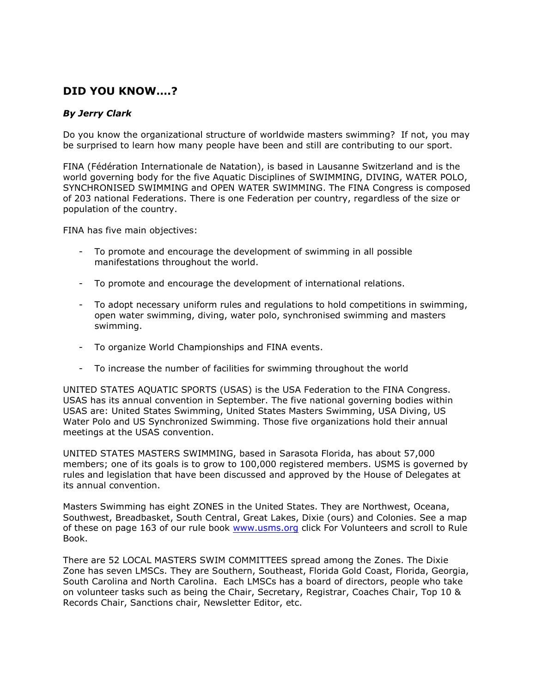## **DID YOU KNOW….?**

## *By Jerry Clark*

Do you know the organizational structure of worldwide masters swimming? If not, you may be surprised to learn how many people have been and still are contributing to our sport.

FINA (Fédération Internationale de Natation), is based in Lausanne Switzerland and is the world governing body for the five Aquatic Disciplines of SWIMMING, DIVING, WATER POLO, SYNCHRONISED SWIMMING and OPEN WATER SWIMMING. The FINA Congress is composed of 203 national Federations. There is one Federation per country, regardless of the size or population of the country.

FINA has five main objectives:

- To promote and encourage the development of swimming in all possible manifestations throughout the world.
- To promote and encourage the development of international relations.
- To adopt necessary uniform rules and regulations to hold competitions in swimming, open water swimming, diving, water polo, synchronised swimming and masters swimming.
- To organize World Championships and FINA events.
- To increase the number of facilities for swimming throughout the world

UNITED STATES AQUATIC SPORTS (USAS) is the USA Federation to the FINA Congress. USAS has its annual convention in September. The five national governing bodies within USAS are: United States Swimming, United States Masters Swimming, USA Diving, US Water Polo and US Synchronized Swimming. Those five organizations hold their annual meetings at the USAS convention.

UNITED STATES MASTERS SWIMMING, based in Sarasota Florida, has about 57,000 members; one of its goals is to grow to 100,000 registered members. USMS is governed by rules and legislation that have been discussed and approved by the House of Delegates at its annual convention.

Masters Swimming has eight ZONES in the United States. They are Northwest, Oceana, Southwest, Breadbasket, South Central, Great Lakes, Dixie (ours) and Colonies. See a map of these on page 163 of our rule book [www.usms.org](http://www.usms.org/) click For Volunteers and scroll to Rule Book.

There are 52 LOCAL MASTERS SWIM COMMITTEES spread among the Zones. The Dixie Zone has seven LMSCs. They are Southern, Southeast, Florida Gold Coast, Florida, Georgia, South Carolina and North Carolina. Each LMSCs has a board of directors, people who take on volunteer tasks such as being the Chair, Secretary, Registrar, Coaches Chair, Top 10 & Records Chair, Sanctions chair, Newsletter Editor, etc.